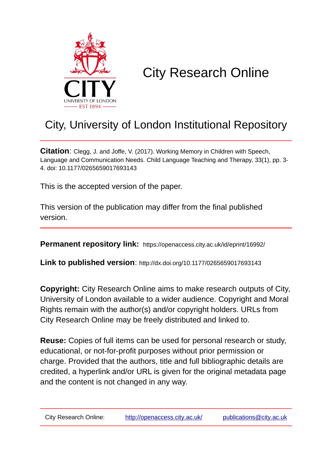

## City Research Online

## City, University of London Institutional Repository

**Citation**: Clegg, J. and Joffe, V. (2017). Working Memory in Children with Speech, Language and Communication Needs. Child Language Teaching and Therapy, 33(1), pp. 3- 4. doi: 10.1177/0265659017693143

This is the accepted version of the paper.

This version of the publication may differ from the final published version.

**Permanent repository link:** https://openaccess.city.ac.uk/id/eprint/16992/

**Link to published version**: http://dx.doi.org/10.1177/0265659017693143

**Copyright:** City Research Online aims to make research outputs of City, University of London available to a wider audience. Copyright and Moral Rights remain with the author(s) and/or copyright holders. URLs from City Research Online may be freely distributed and linked to.

**Reuse:** Copies of full items can be used for personal research or study, educational, or not-for-profit purposes without prior permission or charge. Provided that the authors, title and full bibliographic details are credited, a hyperlink and/or URL is given for the original metadata page and the content is not changed in any way.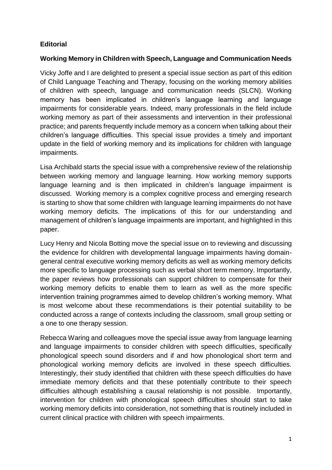## **Editorial**

## **Working Memory in Children with Speech, Language and Communication Needs**

Vicky Joffe and I are delighted to present a special issue section as part of this edition of Child Language Teaching and Therapy, focusing on the working memory abilities of children with speech, language and communication needs (SLCN). Working memory has been implicated in children's language learning and language impairments for considerable years. Indeed, many professionals in the field include working memory as part of their assessments and intervention in their professional practice; and parents frequently include memory as a concern when talking about their children's language difficulties. This special issue provides a timely and important update in the field of working memory and its implications for children with language impairments.

Lisa Archibald starts the special issue with a comprehensive review of the relationship between working memory and language learning. How working memory supports language learning and is then implicated in children's language impairment is discussed. Working memory is a complex cognitive process and emerging research is starting to show that some children with language learning impairments do not have working memory deficits. The implications of this for our understanding and management of children's language impairments are important, and highlighted in this paper.

Lucy Henry and Nicola Botting move the special issue on to reviewing and discussing the evidence for children with developmental language impairments having domaingeneral central executive working memory deficits as well as working memory deficits more specific to language processing such as verbal short term memory. Importantly, the paper reviews how professionals can support children to compensate for their working memory deficits to enable them to learn as well as the more specific intervention training programmes aimed to develop children's working memory. What is most welcome about these recommendations is their potential suitability to be conducted across a range of contexts including the classroom, small group setting or a one to one therapy session.

Rebecca Waring and colleagues move the special issue away from language learning and language impairments to consider children with speech difficulties, specifically phonological speech sound disorders and if and how phonological short term and phonological working memory deficits are involved in these speech difficulties. Interestingly, their study identified that children with these speech difficulties do have immediate memory deficits and that these potentially contribute to their speech difficulties although establishing a causal relationship is not possible. Importantly, intervention for children with phonological speech difficulties should start to take working memory deficits into consideration, not something that is routinely included in current clinical practice with children with speech impairments.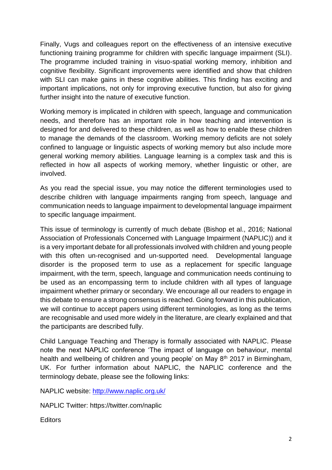Finally, Vugs and colleagues report on the effectiveness of an intensive executive functioning training programme for children with specific language impairment (SLI). The programme included training in visuo-spatial working memory, inhibition and cognitive flexibility. Significant improvements were identified and show that children with SLI can make gains in these cognitive abilities. This finding has exciting and important implications, not only for improving executive function, but also for giving further insight into the nature of executive function.

Working memory is implicated in children with speech, language and communication needs, and therefore has an important role in how teaching and intervention is designed for and delivered to these children, as well as how to enable these children to manage the demands of the classroom. Working memory deficits are not solely confined to language or linguistic aspects of working memory but also include more general working memory abilities. Language learning is a complex task and this is reflected in how all aspects of working memory, whether linguistic or other, are involved.

As you read the special issue, you may notice the different terminologies used to describe children with language impairments ranging from speech, language and communication needs to language impairment to developmental language impairment to specific language impairment.

This issue of terminology is currently of much debate (Bishop et al., 2016; National Association of Professionals Concerned with Language Impairment (NAPLIC)) and it is a very important debate for all professionals involved with children and young people with this often un-recognised and un-supported need. Developmental language disorder is the proposed term to use as a replacement for specific language impairment, with the term, speech, language and communication needs continuing to be used as an encompassing term to include children with all types of language impairment whether primary or secondary. We encourage all our readers to engage in this debate to ensure a strong consensus is reached. Going forward in this publication, we will continue to accept papers using different terminologies, as long as the terms are recognisable and used more widely in the literature, are clearly explained and that the participants are described fully.

Child Language Teaching and Therapy is formally associated with NAPLIC. Please note the next NAPLIC conference 'The impact of language on behaviour, mental health and wellbeing of children and young people' on May 8<sup>th</sup> 2017 in Birmingham, UK. For further information about NAPLIC, the NAPLIC conference and the terminology debate, please see the following links:

NAPLIC website:<http://www.naplic.org.uk/>

NAPLIC Twitter: https://twitter.com/naplic

**Editors**